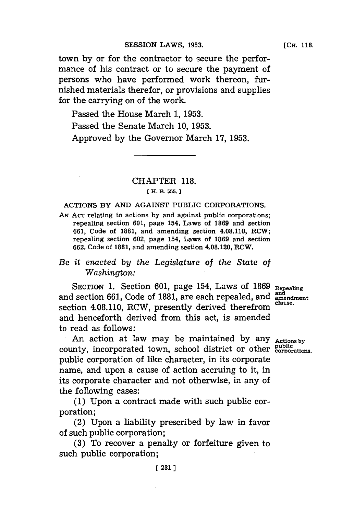town **by** or for the contractor to secure the performance of his contract or to secure the payment of persons who have performed work thereon, furnished materials therefor, or provisions and supplies for the carrying on of the work.

Passed the House March **1, 1953.** Passed the Senate March **10, 1953.** Approved **by** the Governor March **17, 1953.**

## CHAPTER **118. [ H. B. 555.]1**

#### ACTIONS BY **AND AGAINST** PUBLIC CORPORATIONS.

**AN ACT** relating to actions **by** and against public corporations; repealing section **601,** page 154, Laws of **1869** and section **661,** Code of **1881,** and amending section 4.08.110, RCW; repealing section **602,** page 154, Laws of **1869** and section **662,** Code of **1881,** and amending section 4.08.120, RCW.

## *Be it enacted by the Legislature of the State of Washington:*

SECTION 1. Section 601, page 154, Laws of 1869 Repealing and section **661,** Code of **1881,** are each repealed, and **amndent** section 4.08.110, RCW, presently derived therefrom and henceforth derived from this act, is amended to read as follows:

An action at law may be maintained **by** any **Actions by** county, incorporated town, school district or other public corporations. public corporation **of** like character, in its corporate name, and upon a cause of action accruing to it, in its corporate character and not otherwise, in any of the following cases:

**(1)** Upon a contract made with such public corporation;

(2) Upon a liability prescribed **by** law in favor of such public corporation;

**(3)** To recover a penalty or forfeiture given to such public corporation;